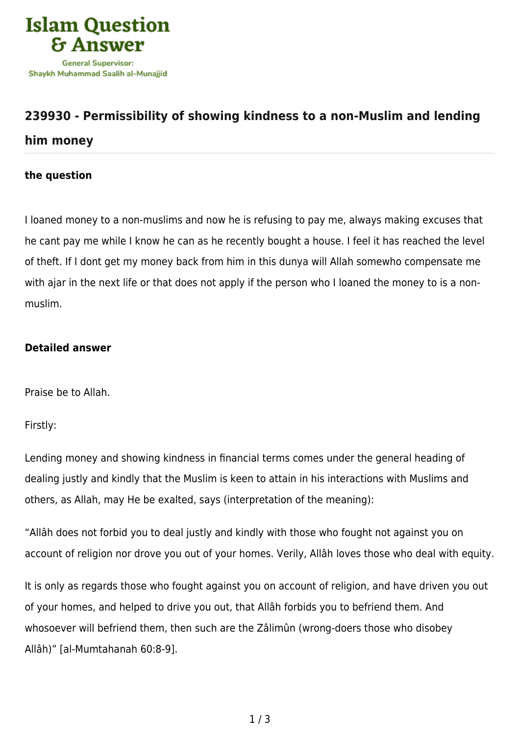

## **[239930 - Permissibility of showing kindness to a non-Muslim and lending](https://islamqa.com/en/answers/239930/permissibility-of-showing-kindness-to-a-non-muslim-and-lending-him-money) [him money](https://islamqa.com/en/answers/239930/permissibility-of-showing-kindness-to-a-non-muslim-and-lending-him-money)**

## **the question**

I loaned money to a non-muslims and now he is refusing to pay me, always making excuses that he cant pay me while I know he can as he recently bought a house. I feel it has reached the level of theft. If I dont get my money back from him in this dunya will Allah somewho compensate me with ajar in the next life or that does not apply if the person who I loaned the money to is a nonmuslim.

## **Detailed answer**

Praise be to Allah.

Firstly:

Lending money and showing kindness in financial terms comes under the general heading of dealing justly and kindly that the Muslim is keen to attain in his interactions with Muslims and others, as Allah, may He be exalted, says (interpretation of the meaning):

"Allâh does not forbid you to deal justly and kindly with those who fought not against you on account of religion nor drove you out of your homes. Verily, Allâh loves those who deal with equity.

It is only as regards those who fought against you on account of religion, and have driven you out of your homes, and helped to drive you out, that Allâh forbids you to befriend them. And whosoever will befriend them, then such are the Zâlimûn (wrong-doers those who disobey Allâh)" [al-Mumtahanah 60:8-9].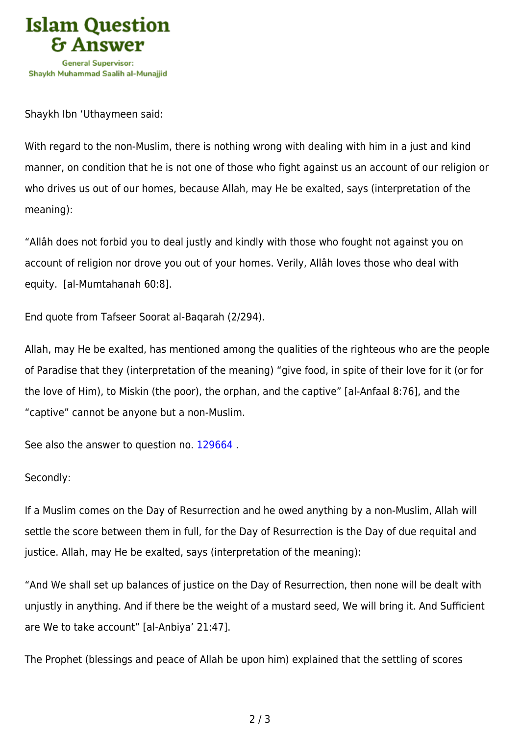

Shaykh Ibn 'Uthaymeen said:

With regard to the non-Muslim, there is nothing wrong with dealing with him in a just and kind manner, on condition that he is not one of those who fight against us an account of our religion or who drives us out of our homes, because Allah, may He be exalted, says (interpretation of the meaning):

"Allâh does not forbid you to deal justly and kindly with those who fought not against you on account of religion nor drove you out of your homes. Verily, Allâh loves those who deal with equity. [al-Mumtahanah 60:8].

End quote from Tafseer Soorat al-Baqarah (2/294).

Allah, may He be exalted, has mentioned among the qualities of the righteous who are the people of Paradise that they (interpretation of the meaning) "give food, in spite of their love for it (or for the love of Him), to Miskin (the poor), the orphan, and the captive" [al-Anfaal 8:76], and the "captive" cannot be anyone but a non-Muslim.

See also the answer to question no. [129664](https://islamqa.com/en/answers/129664) .

## Secondly:

If a Muslim comes on the Day of Resurrection and he owed anything by a non-Muslim, Allah will settle the score between them in full, for the Day of Resurrection is the Day of due requital and justice. Allah, may He be exalted, says (interpretation of the meaning):

"And We shall set up balances of justice on the Day of Resurrection, then none will be dealt with unjustly in anything. And if there be the weight of a mustard seed, We will bring it. And Sufficient are We to take account" [al-Anbiya' 21:47].

The Prophet (blessings and peace of Allah be upon him) explained that the settling of scores